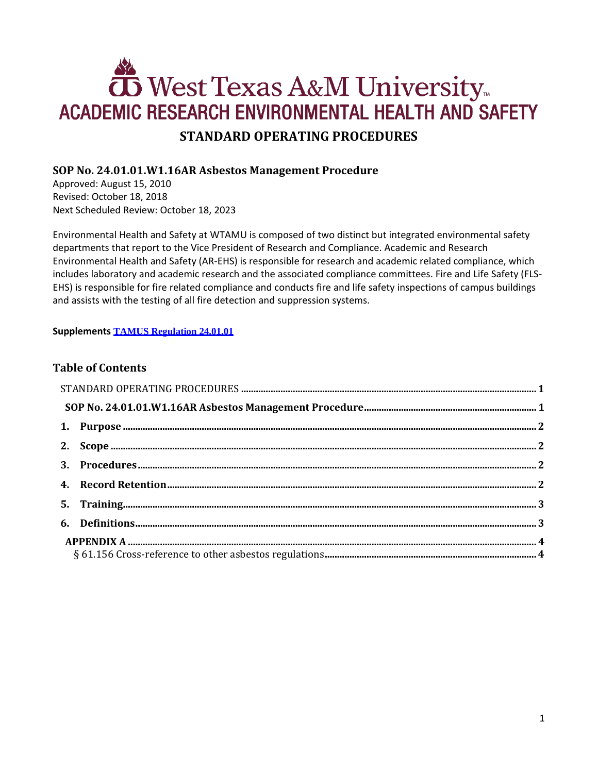# **OS** West Texas A&M University **ACADEMIC RESEARCH ENVIRONMENTAL HEALTH AND SAFETY STANDARD OPERATING PROCEDURES**

# <span id="page-0-1"></span><span id="page-0-0"></span>**SOP No. 24.01.01.W1.16AR Asbestos Management Procedure**

Approved: August 15, 2010 Revised: October 18, 2018 Next Scheduled Review: October 18, 2023

Environmental Health and Safety at WTAMU is composed of two distinct but integrated environmental safety departments that report to the Vice President of Research and Compliance. Academic and Research Environmental Health and Safety (AR-EHS) is responsible for research and academic related compliance, which includes laboratory and academic research and the associated compliance committees. Fire and Life Safety (FLS-EHS) is responsible for fire related compliance and conducts fire and life safety inspections of campus buildings and assists with the testing of all fire detection and suppression systems.

#### **Supplements [TAMUS Regulation 24.01.01](http://policies.tamus.edu/24-01-01.pdf)**

#### **Table of Contents**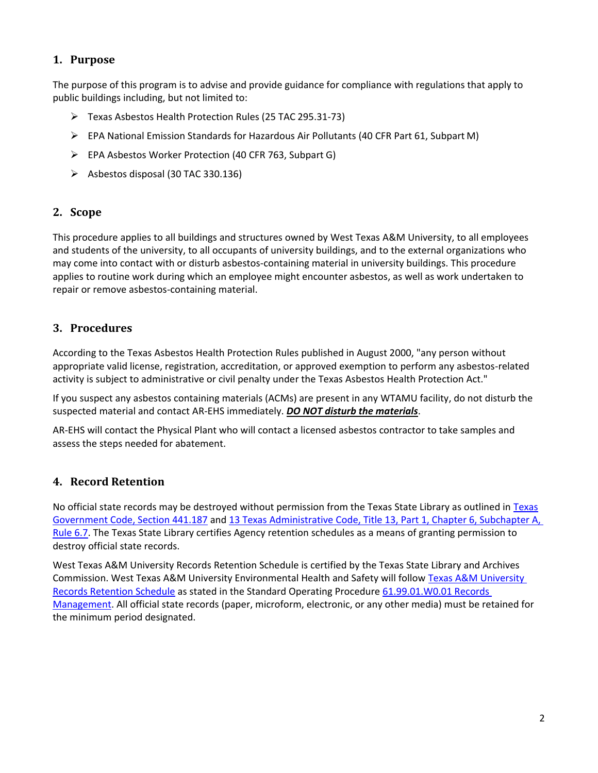# <span id="page-1-0"></span>**1. Purpose**

The purpose of this program is to advise and provide guidance for compliance with regulations that apply to public buildings including, but not limited to:

- Texas Asbestos Health Protection Rules (25 TAC 295.31-73)
- EPA National Emission Standards for Hazardous Air Pollutants (40 CFR Part 61, Subpart M)
- EPA Asbestos Worker Protection (40 CFR 763, Subpart G)
- $\triangleright$  Asbestos disposal (30 TAC 330.136)

#### <span id="page-1-1"></span>**2. Scope**

This procedure applies to all buildings and structures owned by West Texas A&M University, to all employees and students of the university, to all occupants of university buildings, and to the external organizations who may come into contact with or disturb asbestos-containing material in university buildings. This procedure applies to routine work during which an employee might encounter asbestos, as well as work undertaken to repair or remove asbestos-containing material.

#### <span id="page-1-2"></span>**3. Procedures**

According to the Texas Asbestos Health Protection Rules published in August 2000, "any person without appropriate valid license, registration, accreditation, or approved exemption to perform any asbestos-related activity is subject to administrative or civil penalty under the Texas Asbestos Health Protection Act."

If you suspect any asbestos containing materials (ACMs) are present in any WTAMU facility, do not disturb the suspected material and contact AR-EHS immediately. *DO NOT disturb the materials*.

AR-EHS will contact the Physical Plant who will contact a licensed asbestos contractor to take samples and assess the steps needed for abatement.

#### <span id="page-1-3"></span>**4. Record Retention**

No official state records may be destroyed without permission from the Texas State Library as outlined in [Texas](http://www.statutes.legis.state.tx.us/?link=GV) [Government Code, Section 441.187](http://www.statutes.legis.state.tx.us/?link=GV) an[d 13 Texas Administrative Code, Title 13, Part 1, Chapter 6, Subchapter A,](http://txrules.elaws.us/rule/title13_chapter6_sec.6.7)  [Rule](http://txrules.elaws.us/rule/title13_chapter6_sec.6.7) 6.7. The Texas State Library certifies Agency retention schedules as a means of granting permission to destroy official state records.

West Texas A&M University Records Retention Schedule is certified by the Texas State Library and Archives Commission. West Texas A&M University Environmental Health and Safety will follow [Texas A&M](https://www.wtamu.edu/webres/File/Risk%20Management/System-Records-Retention-Schedule.pdf) University [Records Retention Schedule](https://www.wtamu.edu/webres/File/Risk%20Management/System-Records-Retention-Schedule.pdf) as stated in the Standard Operating Procedure [61.99.01.W0.01 Records](http://www.wtamu.edu/webres/File/Risk%20Management/61.99.01.W0.01_PROCEDURE_Records%20Management_FINAL%20SIGNED.pdf)  [Management.](http://www.wtamu.edu/webres/File/Risk%20Management/61.99.01.W0.01_PROCEDURE_Records%20Management_FINAL%20SIGNED.pdf) All official state records (paper, microform, electronic, or any other media) must be retained for the minimum period designated.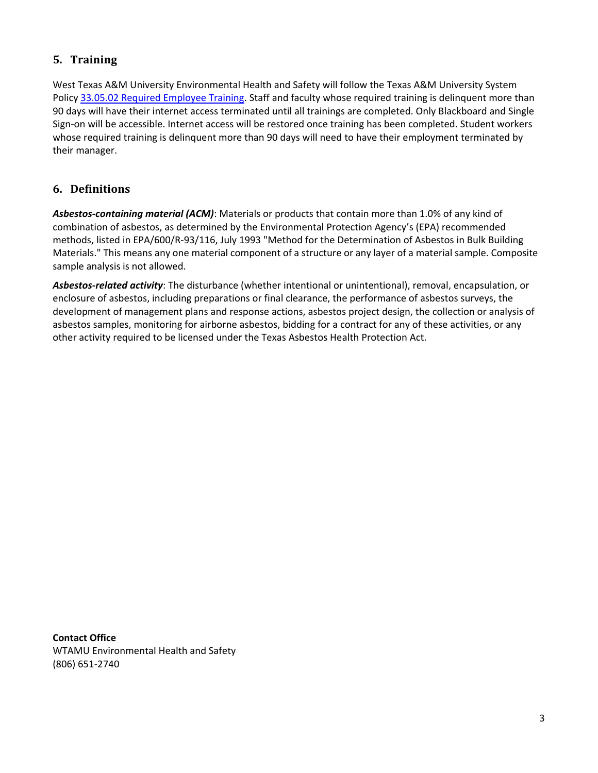# <span id="page-2-0"></span>**5. Training**

West Texas A&M University Environmental Health and Safety will follow the Texas A&M University System Polic[y 33.05.02 Required Employee Training.](http://policies.tamus.edu/33-05-02.pdf) Staff and faculty whose required training is delinquent more than 90 days will have their internet access terminated until all trainings are completed. Only Blackboard and Single Sign-on will be accessible. Internet access will be restored once training has been completed. Student workers whose required training is delinquent more than 90 days will need to have their employment terminated by their manager.

#### <span id="page-2-1"></span>**6. Definitions**

*Asbestos-containing material (ACM)*: Materials or products that contain more than 1.0% of any kind of combination of asbestos, as determined by the Environmental Protection Agency's (EPA) recommended methods, listed in EPA/600/R-93/116, July 1993 "Method for the Determination of Asbestos in Bulk Building Materials." This means any one material component of a structure or any layer of a material sample. Composite sample analysis is not allowed.

*Asbestos-related activity*: The disturbance (whether intentional or unintentional), removal, encapsulation, or enclosure of asbestos, including preparations or final clearance, the performance of asbestos surveys, the development of management plans and response actions, asbestos project design, the collection or analysis of asbestos samples, monitoring for airborne asbestos, bidding for a contract for any of these activities, or any other activity required to be licensed under the Texas Asbestos Health Protection Act.

**Contact Office** WTAMU Environmental Health and Safety (806) 651-2740